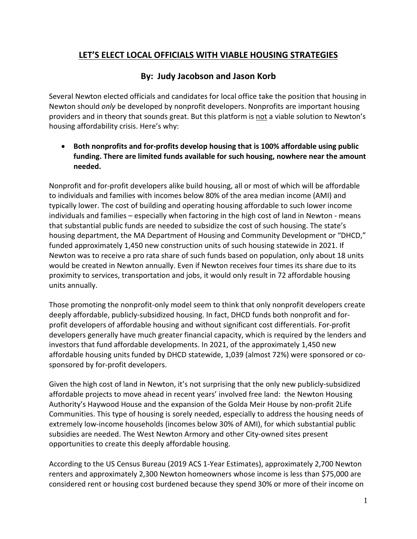## **LET'S ELECT LOCAL OFFICIALS WITH VIABLE HOUSING STRATEGIES**

## **By: Judy Jacobson and Jason Korb**

Several Newton elected officials and candidates for local office take the position that housing in Newton should *only* be developed by nonprofit developers. Nonprofits are important housing providers and in theory that sounds great. But this platform is not a viable solution to Newton's housing affordability crisis. Here's why:

• **Both nonprofits and for-profits develop housing that is 100% affordable using public funding. There are limited funds available for such housing, nowhere near the amount needed.**

Nonprofit and for-profit developers alike build housing, all or most of which will be affordable to individuals and families with incomes below 80% of the area median income (AMI) and typically lower. The cost of building and operating housing affordable to such lower income individuals and families – especially when factoring in the high cost of land in Newton - means that substantial public funds are needed to subsidize the cost of such housing. The state's housing department, the MA Department of Housing and Community Development or "DHCD," funded approximately 1,450 new construction units of such housing statewide in 2021. If Newton was to receive a pro rata share of such funds based on population, only about 18 units would be created in Newton annually. Even if Newton receives four times its share due to its proximity to services, transportation and jobs, it would only result in 72 affordable housing units annually.

Those promoting the nonprofit-only model seem to think that only nonprofit developers create deeply affordable, publicly-subsidized housing. In fact, DHCD funds both nonprofit and forprofit developers of affordable housing and without significant cost differentials. For-profit developers generally have much greater financial capacity, which is required by the lenders and investors that fund affordable developments. In 2021, of the approximately 1,450 new affordable housing units funded by DHCD statewide, 1,039 (almost 72%) were sponsored or cosponsored by for-profit developers.

Given the high cost of land in Newton, it's not surprising that the only new publicly-subsidized affordable projects to move ahead in recent years' involved free land: the Newton Housing Authority's Haywood House and the expansion of the Golda Meir House by non-profit 2Life Communities. This type of housing is sorely needed, especially to address the housing needs of extremely low-income households (incomes below 30% of AMI), for which substantial public subsidies are needed. The West Newton Armory and other City-owned sites present opportunities to create this deeply affordable housing.

According to the US Census Bureau (2019 ACS 1-Year Estimates), approximately 2,700 Newton renters and approximately 2,300 Newton homeowners whose income is less than \$75,000 are considered rent or housing cost burdened because they spend 30% or more of their income on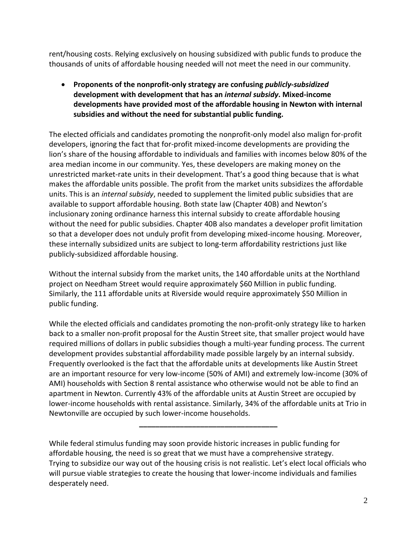rent/housing costs. Relying exclusively on housing subsidized with public funds to produce the thousands of units of affordable housing needed will not meet the need in our community.

• **Proponents of the nonprofit-only strategy are confusing** *publicly-subsidized* **development with development that has an** *internal subsidy***. Mixed-income developments have provided most of the affordable housing in Newton with internal subsidies and without the need for substantial public funding.**

The elected officials and candidates promoting the nonprofit-only model also malign for-profit developers, ignoring the fact that for-profit mixed-income developments are providing the lion's share of the housing affordable to individuals and families with incomes below 80% of the area median income in our community. Yes, these developers are making money on the unrestricted market-rate units in their development. That's a good thing because that is what makes the affordable units possible. The profit from the market units subsidizes the affordable units. This is an *internal subsidy*, needed to supplement the limited public subsidies that are available to support affordable housing. Both state law (Chapter 40B) and Newton's inclusionary zoning ordinance harness this internal subsidy to create affordable housing without the need for public subsidies. Chapter 40B also mandates a developer profit limitation so that a developer does not unduly profit from developing mixed-income housing. Moreover, these internally subsidized units are subject to long-term affordability restrictions just like publicly-subsidized affordable housing.

Without the internal subsidy from the market units, the 140 affordable units at the Northland project on Needham Street would require approximately \$60 Million in public funding. Similarly, the 111 affordable units at Riverside would require approximately \$50 Million in public funding.

While the elected officials and candidates promoting the non-profit-only strategy like to harken back to a smaller non-profit proposal for the Austin Street site, that smaller project would have required millions of dollars in public subsidies though a multi-year funding process. The current development provides substantial affordability made possible largely by an internal subsidy. Frequently overlooked is the fact that the affordable units at developments like Austin Street are an important resource for very low-income (50% of AMI) and extremely low-income (30% of AMI) households with Section 8 rental assistance who otherwise would not be able to find an apartment in Newton. Currently 43% of the affordable units at Austin Street are occupied by lower-income households with rental assistance. Similarly, 34% of the affordable units at Trio in Newtonville are occupied by such lower-income households.

**\_\_\_\_\_\_\_\_\_\_\_\_\_\_\_\_\_\_\_\_\_\_\_\_\_\_\_\_\_\_\_\_\_\_**

While federal stimulus funding may soon provide historic increases in public funding for affordable housing, the need is so great that we must have a comprehensive strategy. Trying to subsidize our way out of the housing crisis is not realistic. Let's elect local officials who will pursue viable strategies to create the housing that lower-income individuals and families desperately need.